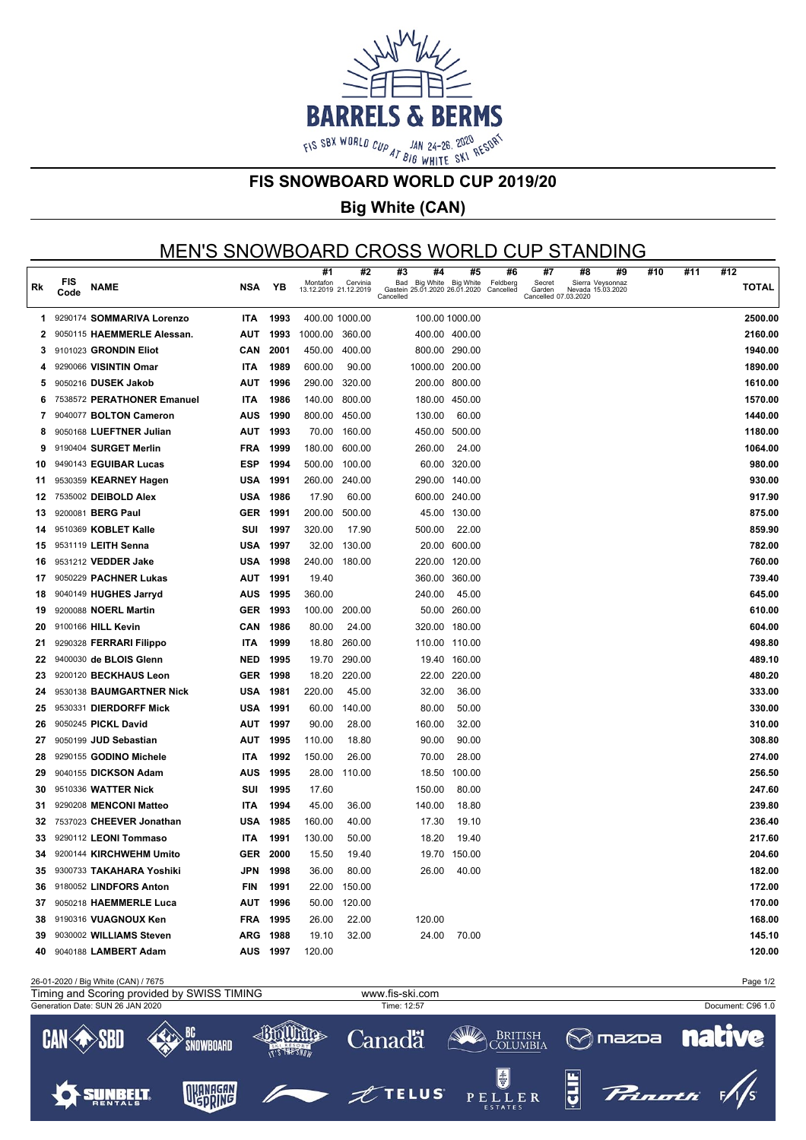

#### **FIS SNOWBOARD WORLD CUP 2019/20**

## **Big White (CAN)**

# MEN'S SNOWBOARD CROSS WORLD CUP STANDING

|     |                    |                             |            |          | #1                                | #2           | #3<br>#4                                                    | #5            | #6                    | #7                                       | #8                                    | #9 | #10 | #11 | #12          |
|-----|--------------------|-----------------------------|------------|----------|-----------------------------------|--------------|-------------------------------------------------------------|---------------|-----------------------|------------------------------------------|---------------------------------------|----|-----|-----|--------------|
| Rk  | <b>FIS</b><br>Code | <b>NAME</b>                 | NSA        | YΒ       | Montafon<br>13.12.2019 21.12.2019 | Cervinia     | Bad Big White<br>Gastein 25.01.2020 26.01.2020<br>Cancelled | Big White     | Feldberg<br>Cancelled | Secret<br>Garden<br>Cancelled 07.03.2020 | Sierra Veysonnaz<br>Nevada 15.03.2020 |    |     |     | <b>TOTAL</b> |
| 1.  |                    | 9290174 SOMMARIVA Lorenzo   | <b>ITA</b> | 1993     | 400.00 1000.00                    |              | 100.00 1000.00                                              |               |                       |                                          |                                       |    |     |     | 2500.00      |
| 2   |                    | 9050115 HAEMMERLE Alessan.  | AUT        | 1993     | 1000.00 360.00                    |              | 400.00 400.00                                               |               |                       |                                          |                                       |    |     |     | 2160.00      |
| 3   |                    | 9101023 GRONDIN Eliot       | CAN        | 2001     | 450.00                            | 400.00       | 800.00 290.00                                               |               |                       |                                          |                                       |    |     |     | 1940.00      |
| 4   |                    | 9290066 VISINTIN Omar       | <b>ITA</b> | 1989     | 600.00                            | 90.00        | 1000.00 200.00                                              |               |                       |                                          |                                       |    |     |     | 1890.00      |
| 5   |                    | 9050216 DUSEK Jakob         | AUT        | 1996     | 290.00                            | 320.00       |                                                             | 200.00 800.00 |                       |                                          |                                       |    |     |     | 1610.00      |
| 6   |                    | 7538572 PERATHONER Emanuel  | <b>ITA</b> | 1986     | 140.00                            | 800.00       |                                                             | 180.00 450.00 |                       |                                          |                                       |    |     |     | 1570.00      |
| 7   |                    | 9040077 BOLTON Cameron      | AUS        | 1990     | 800.00                            | 450.00       | 130.00                                                      | 60.00         |                       |                                          |                                       |    |     |     | 1440.00      |
| 8   |                    | 9050168 LUEFTNER Julian     | AUT        | 1993     | 70.00                             | 160.00       | 450.00 500.00                                               |               |                       |                                          |                                       |    |     |     | 1180.00      |
| 9   |                    | 9190404 SURGET Merlin       | <b>FRA</b> | 1999     | 180.00                            | 600.00       | 260.00                                                      | 24.00         |                       |                                          |                                       |    |     |     | 1064.00      |
| 10  |                    | 9490143 EGUIBAR Lucas       | ESP        | 1994     | 500.00                            | 100.00       |                                                             | 60.00 320.00  |                       |                                          |                                       |    |     |     | 980.00       |
| 11  |                    | 9530359 KEARNEY Hagen       | USA        | 1991     | 260.00                            | 240.00       |                                                             | 290.00 140.00 |                       |                                          |                                       |    |     |     | 930.00       |
| 12  |                    | 7535002 DEIBOLD Alex        | USA        | 1986     | 17.90                             | 60.00        | 600.00 240.00                                               |               |                       |                                          |                                       |    |     |     | 917.90       |
| 13  |                    | 9200081 BERG Paul           | <b>GER</b> | 1991     | 200.00                            | 500.00       |                                                             | 45.00 130.00  |                       |                                          |                                       |    |     |     | 875.00       |
| 14  |                    | 9510369 KOBLET Kalle        | SUI        | 1997     | 320.00                            | 17.90        | 500.00                                                      | 22.00         |                       |                                          |                                       |    |     |     | 859.90       |
| 15  |                    | 9531119 LEITH Senna         | USA        | 1997     | 32.00                             | 130.00       |                                                             | 20.00 600.00  |                       |                                          |                                       |    |     |     | 782.00       |
| 16  |                    | 9531212 VEDDER Jake         | USA        | 1998     | 240.00                            | 180.00       |                                                             | 220.00 120.00 |                       |                                          |                                       |    |     |     | 760.00       |
| 17  |                    | 9050229 PACHNER Lukas       | AUT        | 1991     | 19.40                             |              |                                                             | 360.00 360.00 |                       |                                          |                                       |    |     |     | 739.40       |
| 18  |                    | 9040149 HUGHES Jarryd       | AUS        | 1995     | 360.00                            |              | 240.00                                                      | 45.00         |                       |                                          |                                       |    |     |     | 645.00       |
| 19  |                    | 9200088 <b>NOERL Martin</b> | GER        | 1993     | 100.00                            | 200.00       |                                                             | 50.00 260.00  |                       |                                          |                                       |    |     |     | 610.00       |
| 20  |                    | 9100166 HILL Kevin          | CAN        | 1986     | 80.00                             | 24.00        |                                                             | 320.00 180.00 |                       |                                          |                                       |    |     |     | 604.00       |
| 21  |                    | 9290328 FERRARI Filippo     | <b>ITA</b> | 1999     | 18.80                             | 260.00       | 110.00 110.00                                               |               |                       |                                          |                                       |    |     |     | 498.80       |
| 22  |                    | 9400030 de BLOIS Glenn      | NED        | 1995     | 19.70                             | 290.00       | 19.40                                                       | 160.00        |                       |                                          |                                       |    |     |     | 489.10       |
| 23  |                    | 9200120 BECKHAUS Leon       | <b>GER</b> | 1998     | 18.20                             | 220.00       |                                                             | 22.00 220.00  |                       |                                          |                                       |    |     |     | 480.20       |
| 24  |                    | 9530138 BAUMGARTNER Nick    | USA        | 1981     | 220.00                            | 45.00        | 32.00                                                       | 36.00         |                       |                                          |                                       |    |     |     | 333.00       |
| 25  |                    | 9530331 DIERDORFF Mick      | USA        | 1991     | 60.00                             | 140.00       | 80.00                                                       | 50.00         |                       |                                          |                                       |    |     |     | 330.00       |
| 26  |                    | 9050245 PICKL David         | AUT        | 1997     | 90.00                             | 28.00        | 160.00                                                      | 32.00         |                       |                                          |                                       |    |     |     | 310.00       |
| 27  |                    | 9050199 JUD Sebastian       | AUT        | 1995     | 110.00                            | 18.80        | 90.00                                                       | 90.00         |                       |                                          |                                       |    |     |     | 308.80       |
| 28  |                    | 9290155 GODINO Michele      | <b>ITA</b> | 1992     | 150.00                            | 26.00        | 70.00                                                       | 28.00         |                       |                                          |                                       |    |     |     | 274.00       |
| 29  |                    | 9040155 DICKSON Adam        | AUS        | 1995     | 28.00                             | 110.00       | 18.50                                                       | 100.00        |                       |                                          |                                       |    |     |     | 256.50       |
| 30  |                    | 9510336 WATTER Nick         | SUI        | 1995     | 17.60                             |              | 150.00                                                      | 80.00         |                       |                                          |                                       |    |     |     | 247.60       |
| 31  |                    | 9290208 MENCONI Matteo      | <b>ITA</b> | 1994     | 45.00                             | 36.00        | 140.00                                                      | 18.80         |                       |                                          |                                       |    |     |     | 239.80       |
| 32  |                    | 7537023 CHEEVER Jonathan    | USA        | 1985     | 160.00                            | 40.00        | 17.30                                                       | 19.10         |                       |                                          |                                       |    |     |     | 236.40       |
| 33  |                    | 9290112 LEONI Tommaso       | <b>ITA</b> | 1991     | 130.00                            | 50.00        | 18.20                                                       | 19.40         |                       |                                          |                                       |    |     |     | 217.60       |
| 34  |                    | 9200144 KIRCHWEHM Umito     | GER        | 2000     | 15.50                             | 19.40        |                                                             | 19.70 150.00  |                       |                                          |                                       |    |     |     | 204.60       |
| 35  |                    | 9300733 TAKAHARA Yoshiki    | JPN        | 1998     | 36.00                             | 80.00        |                                                             | 26.00 40.00   |                       |                                          |                                       |    |     |     | 182.00       |
|     |                    | 36 9180052 LINDFORS Anton   | <b>FIN</b> | 1991     |                                   | 22.00 150.00 |                                                             |               |                       |                                          |                                       |    |     |     | 172.00       |
|     |                    | 37 9050218 HAEMMERLE Luca   |            | AUT 1996 |                                   | 50.00 120.00 |                                                             |               |                       |                                          |                                       |    |     |     | 170.00       |
| 38  |                    | 9190316 VUAGNOUX Ken        |            | FRA 1995 | 26.00                             | 22.00        | 120.00                                                      |               |                       |                                          |                                       |    |     |     | 168.00       |
| 39  |                    | 9030002 WILLIAMS Steven     |            | ARG 1988 | 19.10                             | 32.00        | 24.00                                                       | 70.00         |                       |                                          |                                       |    |     |     | 145.10       |
| 40. |                    | 9040188 LAMBERT Adam        |            | AUS 1997 | 120.00                            |              |                                                             |               |                       |                                          |                                       |    |     |     | 120.00       |
|     |                    |                             |            |          |                                   |              |                                                             |               |                       |                                          |                                       |    |     |     |              |

26-01-2020 / Big White (CAN) / 7675 Page 1/2 Timing and Scoring provided by SWISS TIMING www.fis-ski.comGeneration Date: SUN 26 JAN 2020 Time: 12:57 Document: C96 1.0 40mmm **SILLA** BC Canadä British<br>|C<u>olumbi</u>a  $\otimes$ mazoa CAN  $E$ R SNOWBOARD T'S THE SNOW ŧ OKANAGAN **SUNBELT TELUS**  $\mathbf{\bar{L}}$  E R PEL